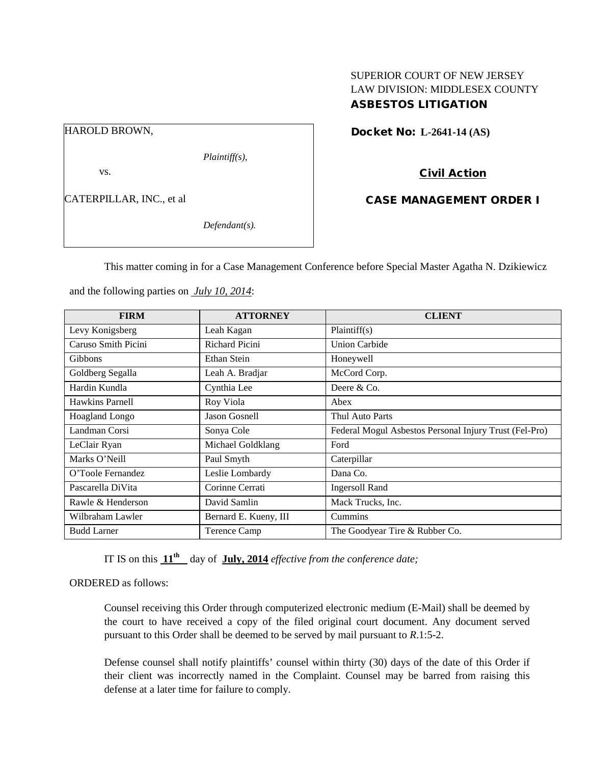## SUPERIOR COURT OF NEW JERSEY LAW DIVISION: MIDDLESEX COUNTY ASBESTOS LITIGATION

HAROLD BROWN,

*Plaintiff(s),*

vs.

CATERPILLAR, INC., et al

*Defendant(s).*

Docket No: **L-2641-14 (AS)** 

Civil Action

CASE MANAGEMENT ORDER I

This matter coming in for a Case Management Conference before Special Master Agatha N. Dzikiewicz

| <b>FIRM</b>         | <b>ATTORNEY</b>       | <b>CLIENT</b>                                          |
|---------------------|-----------------------|--------------------------------------------------------|
| Levy Konigsberg     | Leah Kagan            | Plaintiff(s)                                           |
| Caruso Smith Picini | Richard Picini        | <b>Union Carbide</b>                                   |
| <b>Gibbons</b>      | Ethan Stein           | Honeywell                                              |
| Goldberg Segalla    | Leah A. Bradjar       | McCord Corp.                                           |
| Hardin Kundla       | Cynthia Lee           | Deere & Co.                                            |
| Hawkins Parnell     | Roy Viola             | Abex                                                   |
| Hoagland Longo      | Jason Gosnell         | Thul Auto Parts                                        |
| Landman Corsi       | Sonya Cole            | Federal Mogul Asbestos Personal Injury Trust (Fel-Pro) |
| LeClair Ryan        | Michael Goldklang     | Ford                                                   |
| Marks O'Neill       | Paul Smyth            | Caterpillar                                            |
| O'Toole Fernandez   | Leslie Lombardy       | Dana Co.                                               |
| Pascarella DiVita   | Corinne Cerrati       | <b>Ingersoll Rand</b>                                  |
| Rawle & Henderson   | David Samlin          | Mack Trucks, Inc.                                      |
| Wilbraham Lawler    | Bernard E. Kueny, III | Cummins                                                |
| <b>Budd Larner</b>  | Terence Camp          | The Goodyear Tire & Rubber Co.                         |

and the following parties on *July 10, 2014*:

IT IS on this **11th** day of **July, 2014** *effective from the conference date;*

ORDERED as follows:

Counsel receiving this Order through computerized electronic medium (E-Mail) shall be deemed by the court to have received a copy of the filed original court document. Any document served pursuant to this Order shall be deemed to be served by mail pursuant to *R*.1:5-2.

Defense counsel shall notify plaintiffs' counsel within thirty (30) days of the date of this Order if their client was incorrectly named in the Complaint. Counsel may be barred from raising this defense at a later time for failure to comply.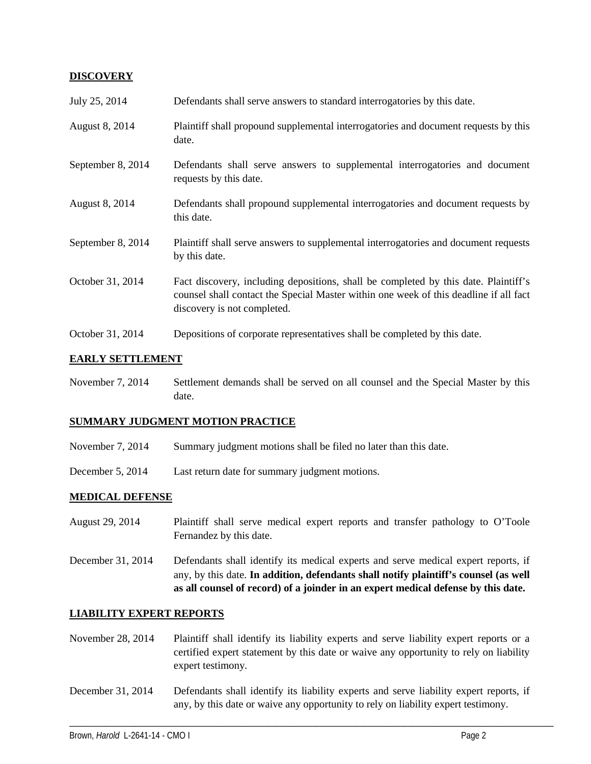## **DISCOVERY**

| July 25, 2014     | Defendants shall serve answers to standard interrogatories by this date.                                                                                                                                    |
|-------------------|-------------------------------------------------------------------------------------------------------------------------------------------------------------------------------------------------------------|
| August 8, 2014    | Plaintiff shall propound supplemental interrogatories and document requests by this<br>date.                                                                                                                |
| September 8, 2014 | Defendants shall serve answers to supplemental interrogatories and document<br>requests by this date.                                                                                                       |
| August 8, 2014    | Defendants shall propound supplemental interrogatories and document requests by<br>this date.                                                                                                               |
| September 8, 2014 | Plaintiff shall serve answers to supplemental interrogatories and document requests<br>by this date.                                                                                                        |
| October 31, 2014  | Fact discovery, including depositions, shall be completed by this date. Plaintiff's<br>counsel shall contact the Special Master within one week of this deadline if all fact<br>discovery is not completed. |
| October 31, 2014  | Depositions of corporate representatives shall be completed by this date.                                                                                                                                   |

## **EARLY SETTLEMENT**

November 7, 2014 Settlement demands shall be served on all counsel and the Special Master by this date.

#### **SUMMARY JUDGMENT MOTION PRACTICE**

- November 7, 2014 Summary judgment motions shall be filed no later than this date.
- December 5, 2014 Last return date for summary judgment motions.

## **MEDICAL DEFENSE**

- August 29, 2014 Plaintiff shall serve medical expert reports and transfer pathology to O'Toole Fernandez by this date.
- December 31, 2014 Defendants shall identify its medical experts and serve medical expert reports, if any, by this date. **In addition, defendants shall notify plaintiff's counsel (as well as all counsel of record) of a joinder in an expert medical defense by this date.**

#### **LIABILITY EXPERT REPORTS**

- November 28, 2014 Plaintiff shall identify its liability experts and serve liability expert reports or a certified expert statement by this date or waive any opportunity to rely on liability expert testimony.
- December 31, 2014 Defendants shall identify its liability experts and serve liability expert reports, if any, by this date or waive any opportunity to rely on liability expert testimony.

\_\_\_\_\_\_\_\_\_\_\_\_\_\_\_\_\_\_\_\_\_\_\_\_\_\_\_\_\_\_\_\_\_\_\_\_\_\_\_\_\_\_\_\_\_\_\_\_\_\_\_\_\_\_\_\_\_\_\_\_\_\_\_\_\_\_\_\_\_\_\_\_\_\_\_\_\_\_\_\_\_\_\_\_\_\_\_\_\_\_\_\_\_\_\_\_\_\_\_\_\_\_\_\_\_\_\_\_\_\_